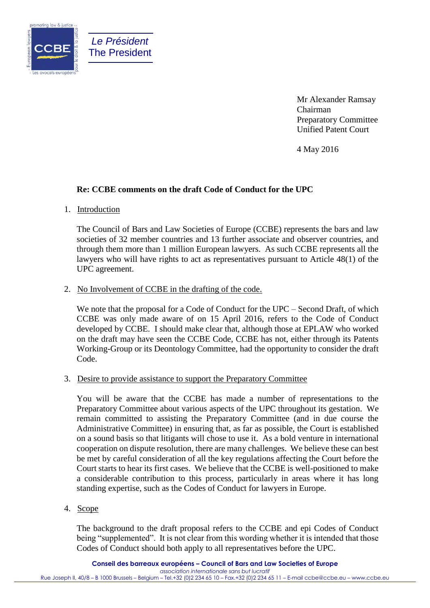

Mr Alexander Ramsay Chairman Preparatory Committee Unified Patent Court

4 May 2016

# **Re: CCBE comments on the draft Code of Conduct for the UPC**

### 1. Introduction

*Le Président* The President

The Council of Bars and Law Societies of Europe (CCBE) represents the bars and law societies of 32 member countries and 13 further associate and observer countries, and through them more than 1 million European lawyers. As such CCBE represents all the lawyers who will have rights to act as representatives pursuant to Article 48(1) of the UPC agreement.

## 2. No Involvement of CCBE in the drafting of the code.

We note that the proposal for a Code of Conduct for the UPC – Second Draft, of which CCBE was only made aware of on 15 April 2016, refers to the Code of Conduct developed by CCBE. I should make clear that, although those at EPLAW who worked on the draft may have seen the CCBE Code, CCBE has not, either through its Patents Working-Group or its Deontology Committee, had the opportunity to consider the draft Code.

### 3. Desire to provide assistance to support the Preparatory Committee

You will be aware that the CCBE has made a number of representations to the Preparatory Committee about various aspects of the UPC throughout its gestation. We remain committed to assisting the Preparatory Committee (and in due course the Administrative Committee) in ensuring that, as far as possible, the Court is established on a sound basis so that litigants will chose to use it. As a bold venture in international cooperation on dispute resolution, there are many challenges. We believe these can best be met by careful consideration of all the key regulations affecting the Court before the Court starts to hear its first cases. We believe that the CCBE is well-positioned to make a considerable contribution to this process, particularly in areas where it has long standing expertise, such as the Codes of Conduct for lawyers in Europe.

## 4. Scope

The background to the draft proposal refers to the CCBE and epi Codes of Conduct being "supplemented". It is not clear from this wording whether it is intended that those Codes of Conduct should both apply to all representatives before the UPC.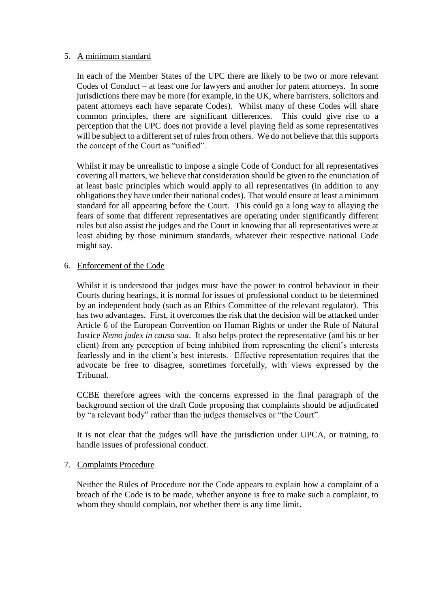## 5. A minimum standard

In each of the Member States of the UPC there are likely to be two or more relevant Codes of Conduct – at least one for lawyers and another for patent attorneys. In some jurisdictions there may be more (for example, in the UK, where barristers, solicitors and patent attorneys each have separate Codes). Whilst many of these Codes will share common principles, there are significant differences. This could give rise to a perception that the UPC does not provide a level playing field as some representatives will be subject to a different set of rules from others. We do not believe that this supports the concept of the Court as "unified".

Whilst it may be unrealistic to impose a single Code of Conduct for all representatives covering all matters, we believe that consideration should be given to the enunciation of at least basic principles which would apply to all representatives (in addition to any obligations they have under their national codes). That would ensure at least a minimum standard for all appearing before the Court. This could go a long way to allaying the fears of some that different representatives are operating under significantly different rules but also assist the judges and the Court in knowing that all representatives were at least abiding by those minimum standards, whatever their respective national Code might say.

## 6. Enforcement of the Code

Whilst it is understood that judges must have the power to control behaviour in their Courts during hearings, it is normal for issues of professional conduct to be determined by an independent body (such as an Ethics Committee of the relevant regulator). This has two advantages. First, it overcomes the risk that the decision will be attacked under Article 6 of the European Convention on Human Rights or under the Rule of Natural Justice *Nemo judex in causa sua*. It also helps protect the representative (and his or her client) from any perception of being inhibited from representing the client's interests fearlessly and in the client's best interests. Effective representation requires that the advocate be free to disagree, sometimes forcefully, with views expressed by the Tribunal.

CCBE therefore agrees with the concerns expressed in the final paragraph of the background section of the draft Code proposing that complaints should be adjudicated by "a relevant body" rather than the judges themselves or "the Court".

It is not clear that the judges will have the jurisdiction under UPCA, or training, to handle issues of professional conduct.

## 7. Complaints Procedure

Neither the Rules of Procedure nor the Code appears to explain how a complaint of a breach of the Code is to be made, whether anyone is free to make such a complaint, to whom they should complain, nor whether there is any time limit.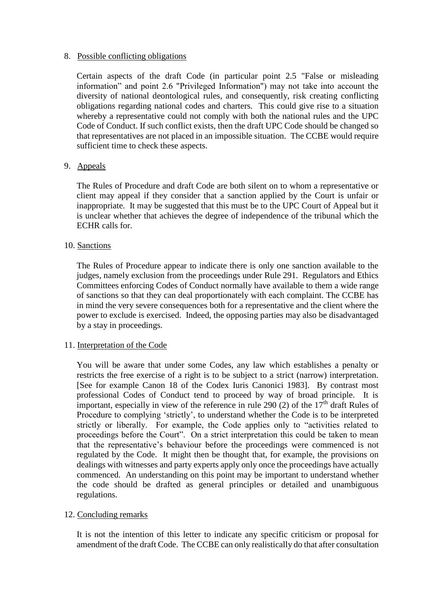## 8. Possible conflicting obligations

Certain aspects of the draft Code (in particular point 2.5 "False or misleading information" and point 2.6 "Privileged Information") may not take into account the diversity of national deontological rules, and consequently, risk creating conflicting obligations regarding national codes and charters. This could give rise to a situation whereby a representative could not comply with both the national rules and the UPC Code of Conduct. If such conflict exists, then the draft UPC Code should be changed so that representatives are not placed in an impossible situation. The CCBE would require sufficient time to check these aspects.

## 9. Appeals

The Rules of Procedure and draft Code are both silent on to whom a representative or client may appeal if they consider that a sanction applied by the Court is unfair or inappropriate. It may be suggested that this must be to the UPC Court of Appeal but it is unclear whether that achieves the degree of independence of the tribunal which the ECHR calls for.

## 10. Sanctions

The Rules of Procedure appear to indicate there is only one sanction available to the judges, namely exclusion from the proceedings under Rule 291. Regulators and Ethics Committees enforcing Codes of Conduct normally have available to them a wide range of sanctions so that they can deal proportionately with each complaint. The CCBE has in mind the very severe consequences both for a representative and the client where the power to exclude is exercised. Indeed, the opposing parties may also be disadvantaged by a stay in proceedings.

### 11. Interpretation of the Code

You will be aware that under some Codes, any law which establishes a penalty or restricts the free exercise of a right is to be subject to a strict (narrow) interpretation. [See for example Canon 18 of the Codex Iuris Canonici 1983]. By contrast most professional Codes of Conduct tend to proceed by way of broad principle. It is important, especially in view of the reference in rule 290 (2) of the  $17<sup>th</sup>$  draft Rules of Procedure to complying 'strictly', to understand whether the Code is to be interpreted strictly or liberally. For example, the Code applies only to "activities related to proceedings before the Court". On a strict interpretation this could be taken to mean that the representative's behaviour before the proceedings were commenced is not regulated by the Code. It might then be thought that, for example, the provisions on dealings with witnesses and party experts apply only once the proceedings have actually commenced. An understanding on this point may be important to understand whether the code should be drafted as general principles or detailed and unambiguous regulations.

### 12. Concluding remarks

It is not the intention of this letter to indicate any specific criticism or proposal for amendment of the draft Code. The CCBE can only realistically do that after consultation